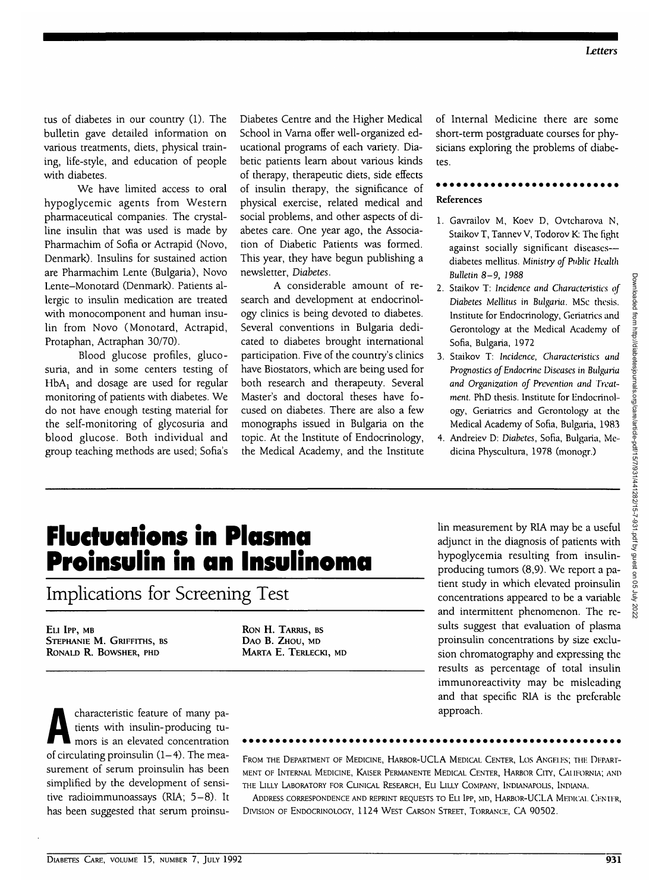tus of diabetes in our country (1). The bulletin gave detailed information on various treatments, diets, physical training, life-style, and education of people with diabetes.

We have limited access to oral hypoglycemic agents from Western pharmaceutical companies. The crystalline insulin that was used is made by Pharmachim of Sofia or Actrapid (Novo, Denmark). Insulins for sustained action are Pharmachim Lente (Bulgaria), Novo Lente-Monotard (Denmark). Patients allergic to insulin medication are treated with monocomponent and human insulin from Novo (Monotard, Actrapid, Protaphan, Actraphan 30/70).

Blood glucose profiles, glucosuria, and in some centers testing of  $HbA_1$  and dosage are used for regular monitoring of patients with diabetes. We do not have enough testing material for the self-monitoring of glycosuria and blood glucose. Both individual and group teaching methods are used; Sofia's

Diabetes Centre and the Higher Medical School in Varna offer well-organized educational programs of each variety. Diabetic patients learn about various kinds of therapy, therapeutic diets, side effects of insulin therapy, the significance of physical exercise, related medical and social problems, and other aspects of diabetes care. One year ago, the Association of Diabetic Patients was formed. This year, they have begun publishing a newsletter, *Diabetes.*

A considerable amount of research and development at endocrinology clinics is being devoted to diabetes. Several conventions in Bulgaria dedicated to diabetes brought international participation. Five of the country's clinics have Biostators, which are being used for both research and therapeuty. Several Master's and doctoral theses have focused on diabetes. There are also a few monographs issued in Bulgaria on the topic. At the Institute of Endocrinology, the Medical Academy, and the Institute

of Internal Medicine there are some short-term postgraduate courses for physicians exploring the problems of diabetes.

## References

- 1. Gavrailov M, Koev D, Ovtcharova N, Staikov T, Tannev V, Todorov K: The fight against socially significant diseases diabetes mellitus. *Ministry of Public Health Bulletin 8-9, 1988*
- *2.* Staikov T: *Incidence and Characteristics of Diabetes Mellitus in Bulgaria.* MSc thesis. Institute for Endocrinology, Geriatrics and Gerontology at the Medical Academy of Sofia, Bulgaria, 1972
- 3. Staikov T: *Incidence, Characteristics and Prognostics of Endocrine Diseases in Bulgaria and Organization of Prevention and Treatment.* PhD thesis. Institute for Endocrinology, Geriatrics and Gerontology at the Medical Academy of Sofia, Bulgaria, 1983
- 4. Andreiev D: Diabetes, Sofia, Bulgaria, Medicina Physcultura, 1978 (monogr.)

## **Fluctuations in Plasma Proinsulin in an Insulinoma**

Implications for Screening Test

ELI IPP, MB STEPHANIE M. GRIFFITHS, BS RONALD R. BOWSHER, PHD

RON H. TARRIS, BS DAO B. ZHOU, MD MARTA E. TERLECKI, MD lin measurement by RIA may be a useful adjunct in the diagnosis of patients with hypoglycemia resulting from insulinproducing tumors (8,9). We report a patient study in which elevated proinsulin concentrations appeared to be a variable and intermittent phenomenon. The results suggest that evaluation of plasma proinsulin concentrations by size exclusion chromatography and expressing the results as percentage of total insulin immunoreactivity may be misleading and that specific RIA is the preferable approach.

characteristic feature of many pa-<br>tients with insulin-producing tu-<br>mors is an elevated concentration tients with insulin-producing tumors is an elevated concentration of circulating proinsulin  $(1-4)$ . The measurement of serum proinsulin has been simplified by the development of sensitive radioimmunoassays (RIA; 5-8). It has been suggested that serum proinsu-

FROM THE DEPARTMENT OF MEDICINE, HARBOR-UCLA MEDICAL CENTER, LOS ANGELES; THE DEPART-MENT OF INTERNAL MEDICINE, KAISER PERMANENTE MEDICAL CENTER, HARBOR CITY, CALIFORNIA; AND THE LILLY LABORATORY FOR CLINICAL RESEARCH, ELI LILLY COMPANY, INDIANAPOLIS, INDIANA.

ADDRESS CORRESPONDENCE AND REPRINT REQUESTS TO ELI IPP, MD, HARBOR-UCLA MEDICAL CENTER, DIVISION OF ENDOCRINOLOGY, 1124 WEST CARSON STREET, TORRANCE, CA 90502.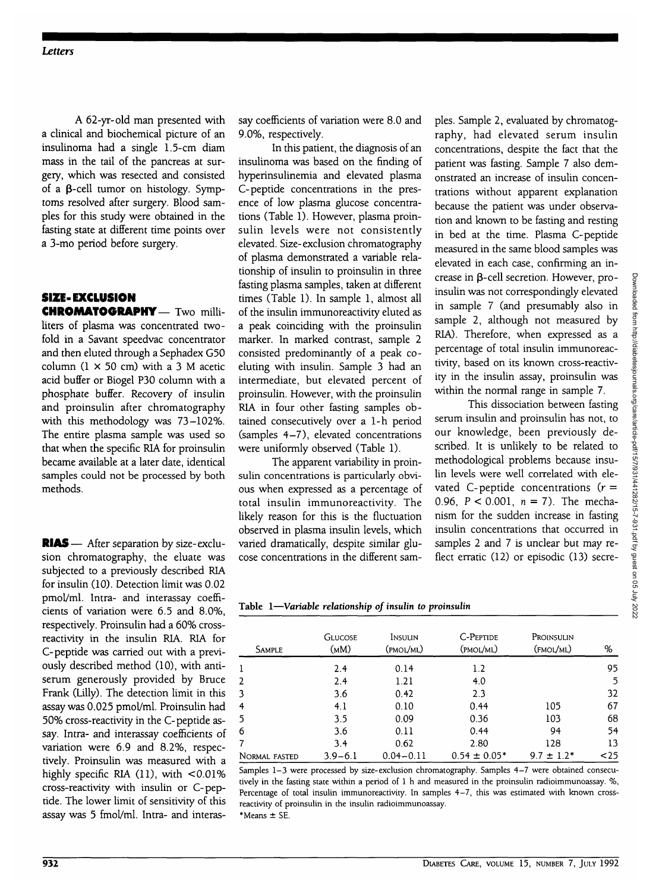A 62-yr-old man presented with a clinical and biochemical picture of an insulinoma had a single 1.5-cm diam mass in the tail of the pancreas at surgery, which was resected and consisted of a  $\beta$ -cell tumor on histology. Symptoms resolved after surgery. Blood samples for this study were obtained in the fasting state at different time points over a 3-mo period before surgery.

### SIZE-EXCLUSION CHROMATOGRAPHY— Two milli-

liters of plasma was concentrated twofold in a Savant speedvac concentrator and then eluted through a Sephadex G50 column  $(1 \times 50 \text{ cm})$  with a 3 M acetic acid buffer or Biogel P30 column with a phosphate buffer. Recovery of insulin and proinsulin after chromatography with this methodology was 73-102%. The entire plasma sample was used so that when the specific RIA for proinsulin became available at a later date, identical samples could not be processed by both methods.

RIAS— After separation by size-exclusion chromatography, the eluate was subjected to a previously described RIA for insulin (10). Detection limit was 0.02 pmol/ml. Intra- and interassay coefficients of variation were 6.5 and 8.0%, respectively. Proinsulin had a 60% crossreactivity in the insulin RIA. RIA for C-peptide was carried out with a previously described method (10), with antiserum generously provided by Bruce Frank (Lilly). The detection limit in this assay was 0.025 pmol/ml. Proinsulin had 50% cross-reactivity in the C-peptide assay. Intra- and interassay coefficients of variation were 6.9 and 8.2%, respectively. Proinsulin was measured with a highly specific RIA  $(11)$ , with  $\leq 0.01\%$ cross-reactivity with insulin or C-peptide. The lower limit of sensitivity of this assay was 5 fmol/ml. Intra- and interassay coefficients of variation were 8.0 and 9.0%, respectively.

In this patient, the diagnosis of an insulinoma was based on the finding of hyperinsulinemia and elevated plasma C-peptide concentrations in the presence of low plasma glucose concentrations (Table 1). However, plasma proinsulin levels were not consistently elevated. Size-exclusion chromatography of plasma demonstrated a variable relationship of insulin to proinsulin in three fasting plasma samples, taken at different times (Table 1). In sample 1, almost all of the insulin immunoreactivity eluted as a peak coinciding with the proinsulin marker. In marked contrast, sample 2 consisted predominantly of a peak coeluting with insulin. Sample 3 had an intermediate, but elevated percent of proinsulin. However, with the proinsulin RIA in four other fasting samples obtained consecutively over a 1-h period (samples 4-7), elevated concentrations were uniformly observed (Table 1).

The apparent variability in proinsulin concentrations is particularly obvious when expressed as a percentage of total insulin immunoreactivity. The likely reason for this is the fluctuation observed in plasma insulin levels, which varied dramatically, despite similar glucose concentrations in the different samples. Sample 2, evaluated by chromatography, had elevated serum insulin concentrations, despite the fact that the patient was fasting. Sample 7 also demonstrated an increase of insulin concentrations without apparent explanation because the patient was under observation and known to be fasting and resting in bed at the time. Plasma C-peptide measured in the same blood samples was elevated in each case, confirming an increase in P-cell secretion. However, proinsulin was not correspondingly elevated in sample 7 (and presumably also in sample 2, although not measured by RIA). Therefore, when expressed as a percentage of total insulin immunoreactivity, based on its known cross-reactivity in the insulin assay, proinsulin was within the normal range in sample 7.

This dissociation between fasting serum insulin and proinsulin has not, to our knowledge, been previously described. It is unlikely to be related to methodological problems because insulin levels were well correlated with elevated C-peptide concentrations  $(r =$ 0.96,  $P < 0.001$ ,  $n = 7$ ). The mechanism for the sudden increase in fasting insulin concentrations that occurred in samples 2 and 7 is unclear but may reflect erratic (12) or episodic (13) secre-

|  |  |  |  | Table 1-Variable relationship of insulin to proinsulin |
|--|--|--|--|--------------------------------------------------------|
|--|--|--|--|--------------------------------------------------------|

| <b>SAMPLE</b>  | <b>GLUCOSE</b><br>(MM) | Insulin<br>(pmol/ml) | C-PEPTIDE<br>(PMOL/ML) | Proinsulin<br>(FMOL/ML) | %    |
|----------------|------------------------|----------------------|------------------------|-------------------------|------|
| 1              | 2.4                    | 0.14                 | 1.2                    |                         | 95   |
| $\overline{2}$ | 2.4                    | 1.21                 | 4.0                    |                         | 5    |
| 3              | 3.6                    | 0.42                 | 2.3                    |                         | 32   |
| $\overline{4}$ | 4.1                    | 0.10                 | 0.44                   | 105                     | 67   |
| 5              | 3.5                    | 0.09                 | 0.36                   | 103                     | 68   |
| 6              | 3.6                    | 0.11                 | 0.44                   | 94                      | 54   |
| 7              | 3.4                    | 0.62                 | 2.80                   | 128                     | 13   |
| NORMAL FASTED  | $3.9 - 6.1$            | $0.04 - 0.11$        | $0.54 \pm 0.05*$       | $9.7 \pm 1.2^*$         | $25$ |

Samples 1-3 were processed by size-exclusion chromatography. Samples 4-7 were obtained consecutively in the fasting state within a period of 1 h and measured in the proinsulin radioimmunoassay. %, Percentage of total insulin immunoreactivity. In samples 4-7, this was estimated with known crossreactivity of proinsulin in the insulin radioimmunoassay.  $*$  Means  $\pm$  SE.